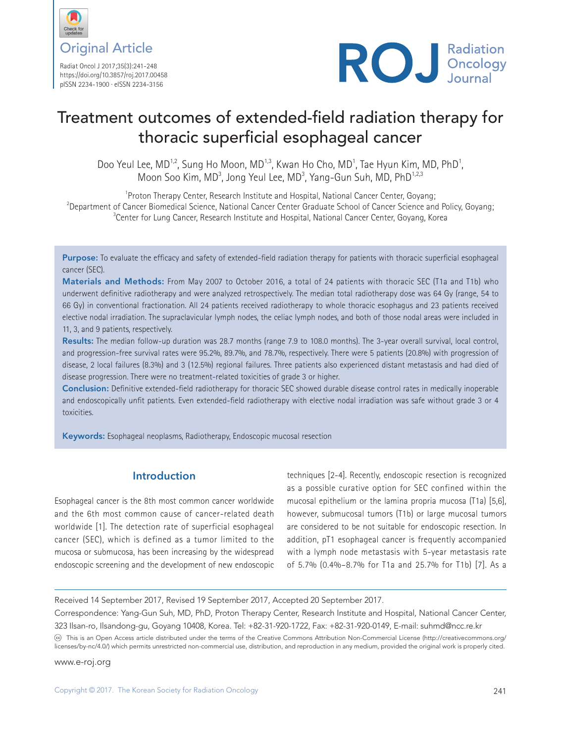

Radiat Oncol J 2017;35(3):241-248 https://doi.org/10.3857/roj.2017.00458 pISSN 2234-1900 · eISSN 2234-3156



# Treatment outcomes of extended-field radiation therapy for thoracic superficial esophageal cancer

Doo Yeul Lee,  $MD^{1,2}$ , Sung Ho Moon,  $MD^{1,3}$ , Kwan Ho Cho,  $MD^{1}$ , Tae Hyun Kim, MD, PhD<sup>1</sup>, Moon Soo Kim, MD<sup>3</sup>, Jong Yeul Lee, MD<sup>3</sup>, Yang-Gun Suh, MD, PhD<sup>1,2,3</sup>

<sup>1</sup> Proton Therapy Center, Research Institute and Hospital, National Cancer Center, Goyang;  $^2$ Department of Cancer Biomedical Science, National Cancer Center Graduate School of Cancer Science and Policy, Goyang; <sup>3</sup>Center for Lung Cancer, Research Institute and Hospital, National Cancer Center, Goyang, Korea

Purpose: To evaluate the efficacy and safety of extended-field radiation therapy for patients with thoracic superficial esophageal cancer (SEC).

Materials and Methods: From May 2007 to October 2016, a total of 24 patients with thoracic SEC (T1a and T1b) who underwent definitive radiotherapy and were analyzed retrospectively. The median total radiotherapy dose was 64 Gy (range, 54 to 66 Gy) in conventional fractionation. All 24 patients received radiotherapy to whole thoracic esophagus and 23 patients received elective nodal irradiation. The supraclavicular lymph nodes, the celiac lymph nodes, and both of those nodal areas were included in 11, 3, and 9 patients, respectively.

Results: The median follow-up duration was 28.7 months (range 7.9 to 108.0 months). The 3-year overall survival, local control, and progression-free survival rates were 95.2%, 89.7%, and 78.7%, respectively. There were 5 patients (20.8%) with progression of disease, 2 local failures (8.3%) and 3 (12.5%) regional failures. Three patients also experienced distant metastasis and had died of disease progression. There were no treatment-related toxicities of grade 3 or higher.

Conclusion: Definitive extended-field radiotherapy for thoracic SEC showed durable disease control rates in medically inoperable and endoscopically unfit patients. Even extended-field radiotherapy with elective nodal irradiation was safe without grade 3 or 4 toxicities.

Keywords: Esophageal neoplasms, Radiotherapy, Endoscopic mucosal resection

# **Introduction**

Esophageal cancer is the 8th most common cancer worldwide and the 6th most common cause of cancer-related death worldwide [1]. The detection rate of superficial esophageal cancer (SEC), which is defined as a tumor limited to the mucosa or submucosa, has been increasing by the widespread endoscopic screening and the development of new endoscopic

techniques [2-4]. Recently, endoscopic resection is recognized as a possible curative option for SEC confined within the mucosal epithelium or the lamina propria mucosa (T1a) [5,6], however, submucosal tumors (T1b) or large mucosal tumors are considered to be not suitable for endoscopic resection. In addition, pT1 esophageal cancer is frequently accompanied with a lymph node metastasis with 5-year metastasis rate of 5.7% (0.4%–8.7% for T1a and 25.7% for T1b) [7]. As a

Received 14 September 2017, Revised 19 September 2017, Accepted 20 September 2017.

Correspondence: Yang-Gun Suh, MD, PhD, Proton Therapy Center, Research Institute and Hospital, National Cancer Center, 323 Ilsan-ro, Ilsandong-gu, Goyang 10408, Korea. Tel: +82-31-920-1722, Fax: +82-31-920-0149, E-mail: suhmd@ncc.re.kr

This is an Open Access article distributed under the terms of the Creative Commons Attribution Non-Commercial License (http://creativecommons.org/ licenses/by-nc/4.0/) which permits unrestricted non-commercial use, distribution, and reproduction in any medium, provided the original work is properly cited.

www.e-roj.org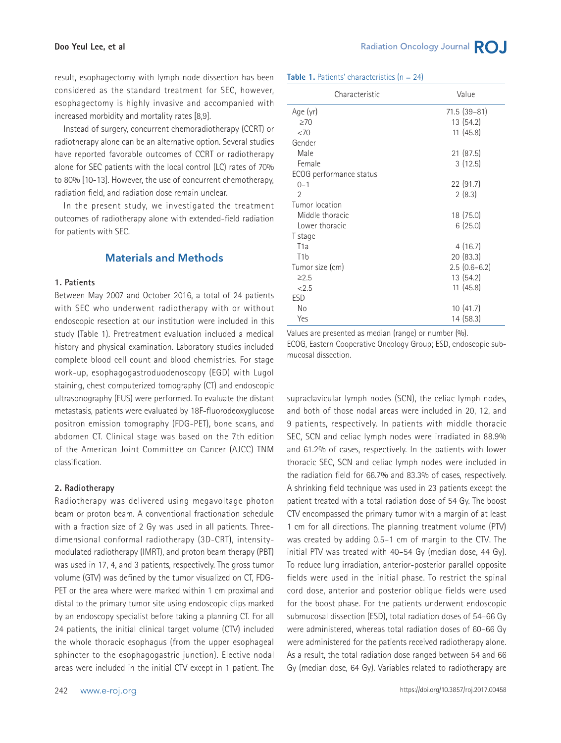result, esophagectomy with lymph node dissection has been considered as the standard treatment for SEC, however, esophagectomy is highly invasive and accompanied with increased morbidity and mortality rates [8,9].

Instead of surgery, concurrent chemoradiotherapy (CCRT) or radiotherapy alone can be an alternative option. Several studies have reported favorable outcomes of CCRT or radiotherapy alone for SEC patients with the local control (LC) rates of 70% to 80% [10-13]. However, the use of concurrent chemotherapy, radiation field, and radiation dose remain unclear.

In the present study, we investigated the treatment outcomes of radiotherapy alone with extended-field radiation for patients with SEC.

## **Materials and Methods**

#### **1. Patients**

Between May 2007 and October 2016, a total of 24 patients with SEC who underwent radiotherapy with or without endoscopic resection at our institution were included in this study (Table 1). Pretreatment evaluation included a medical history and physical examination. Laboratory studies included complete blood cell count and blood chemistries. For stage work-up, esophagogastroduodenoscopy (EGD) with Lugol staining, chest computerized tomography (CT) and endoscopic ultrasonography (EUS) were performed. To evaluate the distant metastasis, patients were evaluated by 18F-fluorodeoxyglucose positron emission tomography (FDG-PET), bone scans, and abdomen CT. Clinical stage was based on the 7th edition of the American Joint Committee on Cancer (AJCC) TNM classification.

#### **2. Radiotherapy**

Radiotherapy was delivered using megavoltage photon beam or proton beam. A conventional fractionation schedule with a fraction size of 2 Gy was used in all patients. Threedimensional conformal radiotherapy (3D-CRT), intensitymodulated radiotherapy (IMRT), and proton beam therapy (PBT) was used in 17, 4, and 3 patients, respectively. The gross tumor volume (GTV) was defined by the tumor visualized on CT, FDG-PET or the area where were marked within 1 cm proximal and distal to the primary tumor site using endoscopic clips marked by an endoscopy specialist before taking a planning CT. For all 24 patients, the initial clinical target volume (CTV) included the whole thoracic esophagus (from the upper esophageal sphincter to the esophagogastric junction). Elective nodal areas were included in the initial CTV except in 1 patient. The **Table 1.** Patients' characteristics (n = 24)

| Characteristic          | Value          |
|-------------------------|----------------|
| Age (yr)                | 71.5 (39-81)   |
| $\geq 70$               | 13 (54.2)      |
| <70                     | 11(45.8)       |
| Gender                  |                |
| Male                    | 21(87.5)       |
| Female                  | 3(12.5)        |
| ECOG performance status |                |
| $0 - 1$                 | 22 (91.7)      |
| $\mathfrak{D}$          | 2(8.3)         |
| Tumor location          |                |
| Middle thoracic         | 18 (75.0)      |
| Lower thoracic          | 6(25.0)        |
| T stage                 |                |
| T <sub>1a</sub>         | 4(16.7)        |
| T <sub>1</sub> b        | 20(83.3)       |
| Tumor size (cm)         | $2.5(0.6-6.2)$ |
| $\geq 2.5$              | 13 (54.2)      |
| < 2.5                   | 11(45.8)       |
| ESD                     |                |
| No                      | 10(41.7)       |
| Yes                     | 14 (58.3)      |

Values are presented as median (range) or number (%). ECOG, Eastern Cooperative Oncology Group; ESD, endoscopic submucosal dissection.

supraclavicular lymph nodes (SCN), the celiac lymph nodes, and both of those nodal areas were included in 20, 12, and 9 patients, respectively. In patients with middle thoracic SEC, SCN and celiac lymph nodes were irradiated in 88.9% and 61.2% of cases, respectively. In the patients with lower thoracic SEC, SCN and celiac lymph nodes were included in the radiation field for 66.7% and 83.3% of cases, respectively. A shrinking field technique was used in 23 patients except the patient treated with a total radiation dose of 54 Gy. The boost CTV encompassed the primary tumor with a margin of at least 1 cm for all directions. The planning treatment volume (PTV) was created by adding 0.5–1 cm of margin to the CTV. The initial PTV was treated with 40–54 Gy (median dose, 44 Gy). To reduce lung irradiation, anterior-posterior parallel opposite fields were used in the initial phase. To restrict the spinal cord dose, anterior and posterior oblique fields were used for the boost phase. For the patients underwent endoscopic submucosal dissection (ESD), total radiation doses of 54–66 Gy were administered, whereas total radiation doses of 60–66 Gy were administered for the patients received radiotherapy alone. As a result, the total radiation dose ranged between 54 and 66 Gy (median dose, 64 Gy). Variables related to radiotherapy are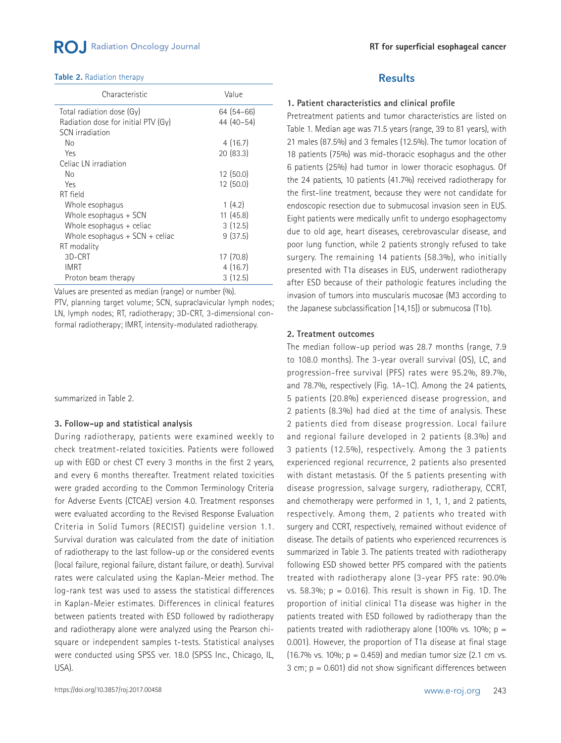#### **Table 2.** Radiation therapy

| Characteristic                      | Value      |
|-------------------------------------|------------|
| Total radiation dose (Gy)           | 64 (54-66) |
| Radiation dose for initial PTV (Gy) | 44 (40-54) |
| SCN irradiation                     |            |
| Nο                                  | 4(16.7)    |
| Yes                                 | 20(83.3)   |
| Celiac LN irradiation               |            |
| Nο                                  | 12 (50.0)  |
| Yes                                 | 12 (50.0)  |
| RT field                            |            |
| Whole esophagus                     | 1(4.2)     |
| Whole esophagus + SCN               | 11(45.8)   |
| Whole esophagus $+$ celiac          | 3(12.5)    |
| Whole esophagus $+$ SCN $+$ celiac  | 9(37.5)    |
| RT modality                         |            |
| 3D-CRT                              | 17 (70.8)  |
| <b>IMRT</b>                         | 4(16.7)    |
| Proton beam therapy                 | 3(12.5)    |

Values are presented as median (range) or number (%).

PTV, planning target volume; SCN, supraclavicular lymph nodes; LN, lymph nodes; RT, radiotherapy; 3D-CRT, 3-dimensional conformal radiotherapy; IMRT, intensity-modulated radiotherapy.

summarized in Table 2.

#### **3. Follow-up and statistical analysis**

During radiotherapy, patients were examined weekly to check treatment-related toxicities. Patients were followed up with EGD or chest CT every 3 months in the first 2 years, and every 6 months thereafter. Treatment related toxicities were graded according to the Common Terminology Criteria for Adverse Events (CTCAE) version 4.0. Treatment responses were evaluated according to the Revised Response Evaluation Criteria in Solid Tumors (RECIST) guideline version 1.1. Survival duration was calculated from the date of initiation of radiotherapy to the last follow-up or the considered events (local failure, regional failure, distant failure, or death). Survival rates were calculated using the Kaplan-Meier method. The log-rank test was used to assess the statistical differences in Kaplan-Meier estimates. Differences in clinical features between patients treated with ESD followed by radiotherapy and radiotherapy alone were analyzed using the Pearson chisquare or independent samples t-tests. Statistical analyses were conducted using SPSS ver. 18.0 (SPSS Inc., Chicago, IL, USA).

## **Results**

#### **1. Patient characteristics and clinical profile**

Pretreatment patients and tumor characteristics are listed on Table 1. Median age was 71.5 years (range, 39 to 81 years), with 21 males (87.5%) and 3 females (12.5%). The tumor location of 18 patients (75%) was mid-thoracic esophagus and the other 6 patients (25%) had tumor in lower thoracic esophagus. Of the 24 patients, 10 patients (41.7%) received radiotherapy for the first-line treatment, because they were not candidate for endoscopic resection due to submucosal invasion seen in EUS. Eight patients were medically unfit to undergo esophagectomy due to old age, heart diseases, cerebrovascular disease, and poor lung function, while 2 patients strongly refused to take surgery. The remaining 14 patients (58.3%), who initially presented with T1a diseases in EUS, underwent radiotherapy after ESD because of their pathologic features including the invasion of tumors into muscularis mucosae (M3 according to the Japanese subclassification [14,15]) or submucosa (T1b).

#### **2. Treatment outcomes**

The median follow-up period was 28.7 months (range, 7.9 to 108.0 months). The 3-year overall survival (OS), LC, and progression-free survival (PFS) rates were 95.2%, 89.7%, and 78.7%, respectively (Fig. 1A–1C). Among the 24 patients, 5 patients (20.8%) experienced disease progression, and 2 patients (8.3%) had died at the time of analysis. These 2 patients died from disease progression. Local failure and regional failure developed in 2 patients (8.3%) and 3 patients (12.5%), respectively. Among the 3 patients experienced regional recurrence, 2 patients also presented with distant metastasis. Of the 5 patients presenting with disease progression, salvage surgery, radiotherapy, CCRT, and chemotherapy were performed in 1, 1, 1, and 2 patients, respectively. Among them, 2 patients who treated with surgery and CCRT, respectively, remained without evidence of disease. The details of patients who experienced recurrences is summarized in Table 3. The patients treated with radiotherapy following ESD showed better PFS compared with the patients treated with radiotherapy alone (3-year PFS rate: 90.0% vs. 58.3%;  $p = 0.016$ ). This result is shown in Fig. 1D. The proportion of initial clinical T1a disease was higher in the patients treated with ESD followed by radiotherapy than the patients treated with radiotherapy alone (100% vs. 10%;  $p =$ 0.001). However, the proportion of T1a disease at final stage (16.7% vs. 10%;  $p = 0.459$ ) and median tumor size (2.1 cm vs. 3 cm;  $p = 0.601$ ) did not show significant differences between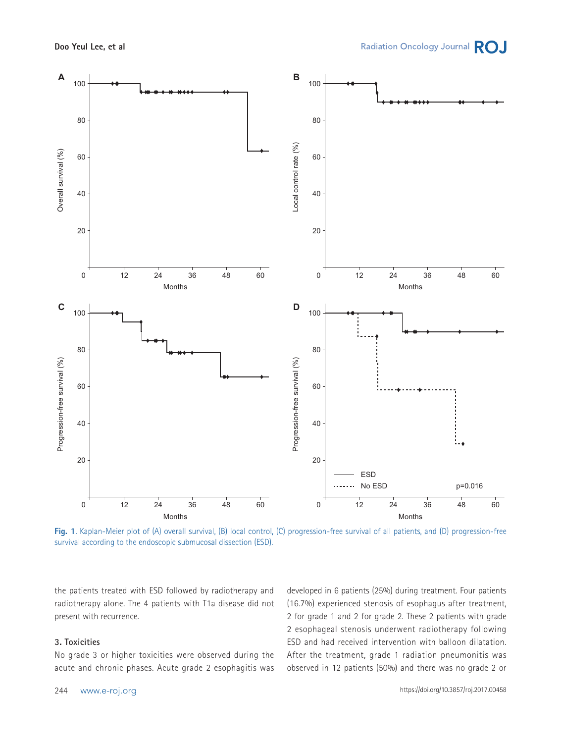

**Fig. 1**. Kaplan-Meier plot of (A) overall survival, (B) local control, (C) progression-free survival of all patients, and (D) progression-free survival according to the endoscopic submucosal dissection (ESD).

the patients treated with ESD followed by radiotherapy and radiotherapy alone. The 4 patients with T1a disease did not present with recurrence.

### **3. Toxicities**

No grade 3 or higher toxicities were observed during the acute and chronic phases. Acute grade 2 esophagitis was developed in 6 patients (25%) during treatment. Four patients (16.7%) experienced stenosis of esophagus after treatment, 2 for grade 1 and 2 for grade 2. These 2 patients with grade 2 esophageal stenosis underwent radiotherapy following ESD and had received intervention with balloon dilatation. After the treatment, grade 1 radiation pneumonitis was observed in 12 patients (50%) and there was no grade 2 or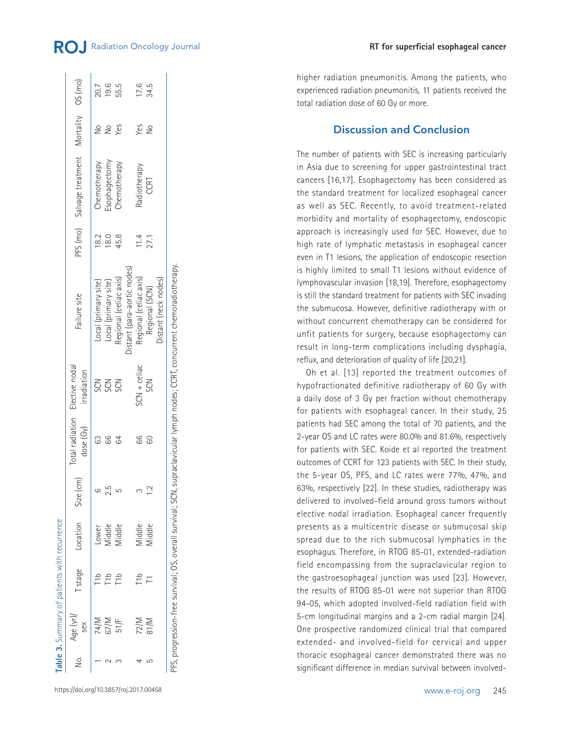|     | Table 3. Summary of patients with recurrence |                  |                           |     |              |                                              |                                                                                                                             |      |                                              |               |      |
|-----|----------------------------------------------|------------------|---------------------------|-----|--------------|----------------------------------------------|-----------------------------------------------------------------------------------------------------------------------------|------|----------------------------------------------|---------------|------|
| No. | Age (yr)/<br>sex                             |                  | Tstage Location Size (cm) |     | dose $(G_V)$ | otal radiation Elective nodal<br>irradiation | Failure site                                                                                                                |      | PFS (mo) Salvage treatment Mortality 0S (mo) |               |      |
|     |                                              | T1b              | Lower                     |     |              |                                              | Local (primary site)                                                                                                        | 18.2 | Chemotherapy                                 | $\frac{1}{2}$ | 20.7 |
|     | 67/M                                         | ەr-              | Middle                    | 2.5 | 99           | <b>2</b> 2 2<br>ស                            | Local (primary site)                                                                                                        | 180  |                                              | $\frac{1}{2}$ | 19.6 |
|     | 51/F                                         | T <sub>1</sub> b | Middle                    |     |              |                                              | Regional (celiac axis)                                                                                                      | 45.8 | Esophagectomy<br>Chemotherapy                | Yes           | 55.5 |
|     |                                              |                  |                           |     |              |                                              | Distant (para-aortic nodes)                                                                                                 |      |                                              |               |      |
|     | 72/M                                         |                  | Middle                    |     | 99           | $5CN +$ celiac                               | Regional (celiac axis)                                                                                                      | 11.4 | Radiotherapy                                 | Yes           | 17.6 |
| ഥ   | 81/M                                         |                  | Viiddle                   |     | 80           | SCN                                          | Regional (SCN)                                                                                                              | 27.1 | CCRT                                         | $\frac{1}{2}$ | 34.5 |
|     |                                              |                  |                           |     |              |                                              | Distant (neck nodes)                                                                                                        |      |                                              |               |      |
|     |                                              |                  |                           |     |              |                                              | PFS, progression-free survival; OS, overall survival; SCN, supraclavicular lymph nodes; CCRT, concurrent chemoradiotherapy. |      |                                              |               |      |

higher radiation pneumonitis. Among the patients, who experienced radiation pneumonitis, 11 patients received the total radiation dose of 60 Gy or more.

**RT for superficial esophageal cancer**

## **Discussion and Conclusion**

The number of patients with SEC is increasing particularly in Asia due to screening for upper gastrointestinal tract cancers [16,17]. Esophagectomy has been considered as the standard treatment for localized esophageal cancer as well as SEC. Recently, to avoid treatment-related morbidity and mortality of esophagectomy, endoscopic approach is increasingly used for SEC. However, due to high rate of lymphatic metastasis in esophageal cancer even in T1 lesions, the application of endoscopic resection is highly limited to small T1 lesions without evidence of lymphovascular invasion [18,19]. Therefore, esophagectomy is still the standard treatment for patients with SEC invading the submucosa. However, definitive radiotherapy with or without concurrent chemotherapy can be considered for unfit patients for surgery, because esophagectomy can result in long-term complications including dysphagia, reflux, and deterioration of quality of life [20,21].

Oh et al. [13] reported the treatment outcomes of hypofractionated definitive radiotherapy of 60 Gy with a daily dose of 3 Gy per fraction without chemotherapy for patients with esophageal cancer. In their study, 25 patients had SEC among the total of 70 patients, and the 2-year OS and LC rates were 80.0% and 81.6%, respectively for patients with SEC. Koide et al reported the treatment outcomes of CCRT for 123 patients with SEC. In their study, the 5-year OS, PFS, and LC rates were 77%, 47%, and 63%, respectively [22]. In these studies, radiotherapy was delivered to involved-field around gross tumors without elective nodal irradiation. Esophageal cancer frequently presents as a multicentric disease or submucosal skip spread due to the rich submucosal lymphatics in the esophagus. Therefore, in RTOG 85-01, extended-radiation field encompassing from the supraclavicular region to the gastroesophageal junction was used [23]. However, the results of RTOG 85-01 were not superior than RTOG 94-05, which adopted involved-field radiation field with 5-cm longitudinal margins and a 2-cm radial margin [24]. One prospective randomized clinical trial that compared extended- and involved-field for cervical and upper thoracic esophageal cancer demonstrated there was no significant difference in median survival between involved-

https://doi.org/10.3857/roj.2017.00458 www.e-roj.org 245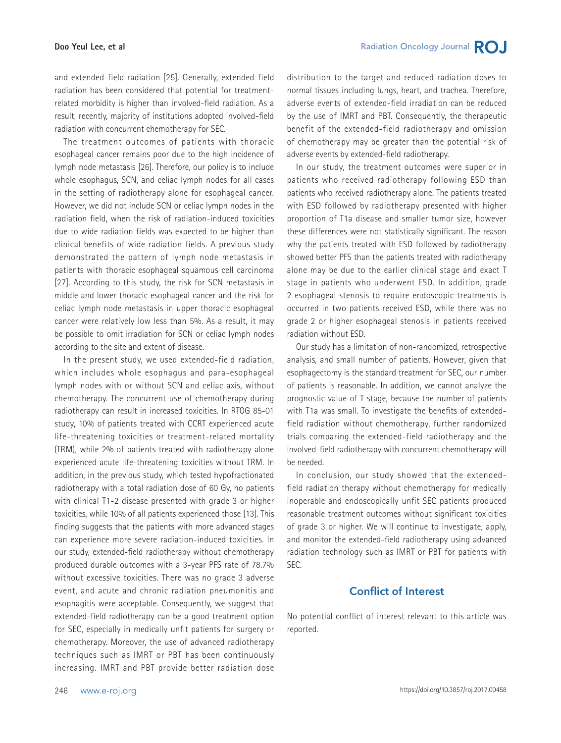#### **Doo Yeul Lee, et al**

and extended-field radiation [25]. Generally, extended-field radiation has been considered that potential for treatmentrelated morbidity is higher than involved-field radiation. As a result, recently, majority of institutions adopted involved-field radiation with concurrent chemotherapy for SEC.

The treatment outcomes of patients with thoracic esophageal cancer remains poor due to the high incidence of lymph node metastasis [26]. Therefore, our policy is to include whole esophagus, SCN, and celiac lymph nodes for all cases in the setting of radiotherapy alone for esophageal cancer. However, we did not include SCN or celiac lymph nodes in the radiation field, when the risk of radiation-induced toxicities due to wide radiation fields was expected to be higher than clinical benefits of wide radiation fields. A previous study demonstrated the pattern of lymph node metastasis in patients with thoracic esophageal squamous cell carcinoma [27]. According to this study, the risk for SCN metastasis in middle and lower thoracic esophageal cancer and the risk for celiac lymph node metastasis in upper thoracic esophageal cancer were relatively low less than 5%. As a result, it may be possible to omit irradiation for SCN or celiac lymph nodes according to the site and extent of disease.

In the present study, we used extended-field radiation, which includes whole esophagus and para-esophageal lymph nodes with or without SCN and celiac axis, without chemotherapy. The concurrent use of chemotherapy during radiotherapy can result in increased toxicities. In RTOG 85-01 study, 10% of patients treated with CCRT experienced acute life-threatening toxicities or treatment-related mortality (TRM), while 2% of patients treated with radiotherapy alone experienced acute life-threatening toxicities without TRM. In addition, in the previous study, which tested hypofractionated radiotherapy with a total radiation dose of 60 Gy, no patients with clinical T1-2 disease presented with grade 3 or higher toxicities, while 10% of all patients experienced those [13]. This finding suggests that the patients with more advanced stages can experience more severe radiation-induced toxicities. In our study, extended-field radiotherapy without chemotherapy produced durable outcomes with a 3-year PFS rate of 78.7% without excessive toxicities. There was no grade 3 adverse event, and acute and chronic radiation pneumonitis and esophagitis were acceptable. Consequently, we suggest that extended-field radiotherapy can be a good treatment option for SEC, especially in medically unfit patients for surgery or chemotherapy. Moreover, the use of advanced radiotherapy techniques such as IMRT or PBT has been continuously increasing. IMRT and PBT provide better radiation dose distribution to the target and reduced radiation doses to normal tissues including lungs, heart, and trachea. Therefore, adverse events of extended-field irradiation can be reduced by the use of IMRT and PBT. Consequently, the therapeutic benefit of the extended-field radiotherapy and omission of chemotherapy may be greater than the potential risk of adverse events by extended-field radiotherapy.

In our study, the treatment outcomes were superior in patients who received radiotherapy following ESD than patients who received radiotherapy alone. The patients treated with ESD followed by radiotherapy presented with higher proportion of T1a disease and smaller tumor size, however these differences were not statistically significant. The reason why the patients treated with ESD followed by radiotherapy showed better PFS than the patients treated with radiotherapy alone may be due to the earlier clinical stage and exact T stage in patients who underwent ESD. In addition, grade 2 esophageal stenosis to require endoscopic treatments is occurred in two patients received ESD, while there was no grade 2 or higher esophageal stenosis in patients received radiation without ESD.

Our study has a limitation of non-randomized, retrospective analysis, and small number of patients. However, given that esophagectomy is the standard treatment for SEC, our number of patients is reasonable. In addition, we cannot analyze the prognostic value of T stage, because the number of patients with T1a was small. To investigate the benefits of extendedfield radiation without chemotherapy, further randomized trials comparing the extended-field radiotherapy and the involved-field radiotherapy with concurrent chemotherapy will be needed.

In conclusion, our study showed that the extendedfield radiation therapy without chemotherapy for medically inoperable and endoscopically unfit SEC patients produced reasonable treatment outcomes without significant toxicities of grade 3 or higher. We will continue to investigate, apply, and monitor the extended-field radiotherapy using advanced radiation technology such as IMRT or PBT for patients with SEC.

# **Conflict of Interest**

No potential conflict of interest relevant to this article was reported.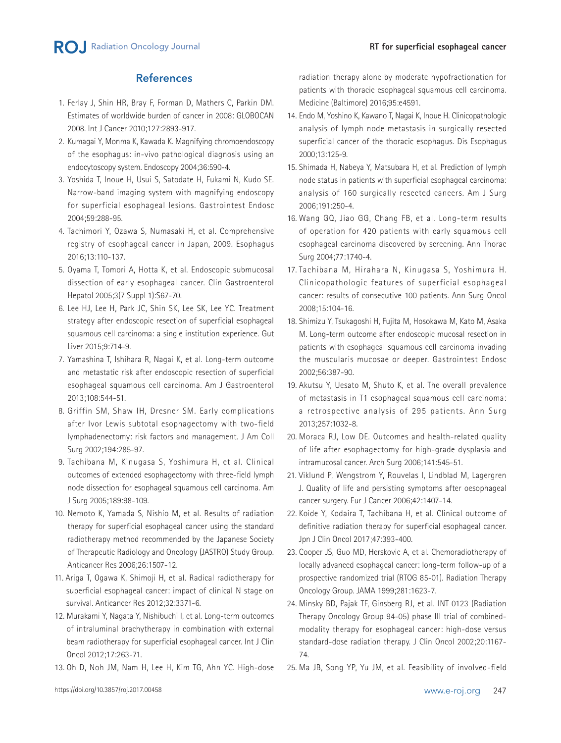# **References**

- 1. Ferlay J, Shin HR, Bray F, Forman D, Mathers C, Parkin DM. Estimates of worldwide burden of cancer in 2008: GLOBOCAN 2008. Int J Cancer 2010;127:2893-917.
- 2. Kumagai Y, Monma K, Kawada K. Magnifying chromoendoscopy of the esophagus: in-vivo pathological diagnosis using an endocytoscopy system. Endoscopy 2004;36:590-4.
- 3. Yoshida T, Inoue H, Usui S, Satodate H, Fukami N, Kudo SE. Narrow-band imaging system with magnifying endoscopy for superficial esophageal lesions. Gastrointest Endosc 2004;59:288-95.
- 4. Tachimori Y, Ozawa S, Numasaki H, et al. Comprehensive registry of esophageal cancer in Japan, 2009. Esophagus 2016;13:110-137.
- 5. Oyama T, Tomori A, Hotta K, et al. Endoscopic submucosal dissection of early esophageal cancer. Clin Gastroenterol Hepatol 2005;3(7 Suppl 1):S67-70.
- 6. Lee HJ, Lee H, Park JC, Shin SK, Lee SK, Lee YC. Treatment strategy after endoscopic resection of superficial esophageal squamous cell carcinoma: a single institution experience. Gut Liver 2015;9:714-9.
- 7. Yamashina T, Ishihara R, Nagai K, et al. Long-term outcome and metastatic risk after endoscopic resection of superficial esophageal squamous cell carcinoma. Am J Gastroenterol 2013;108:544-51.
- 8. Griffin SM, Shaw IH, Dresner SM. Early complications after Ivor Lewis subtotal esophagectomy with two-field lymphadenectomy: risk factors and management. J Am Coll Surg 2002;194:285-97.
- 9. Tachibana M, Kinugasa S, Yoshimura H, et al. Clinical outcomes of extended esophagectomy with three-field lymph node dissection for esophageal squamous cell carcinoma. Am J Surg 2005;189:98-109.
- 10. Nemoto K, Yamada S, Nishio M, et al. Results of radiation therapy for superficial esophageal cancer using the standard radiotherapy method recommended by the Japanese Society of Therapeutic Radiology and Oncology (JASTRO) Study Group. Anticancer Res 2006;26:1507-12.
- 11. Ariga T, Ogawa K, Shimoji H, et al. Radical radiotherapy for superficial esophageal cancer: impact of clinical N stage on survival. Anticancer Res 2012;32:3371-6.
- 12. Murakami Y, Nagata Y, Nishibuchi I, et al. Long-term outcomes of intraluminal brachytherapy in combination with external beam radiotherapy for superficial esophageal cancer. Int J Clin Oncol 2012;17:263-71.
- 13. Oh D, Noh JM, Nam H, Lee H, Kim TG, Ahn YC. High-dose

radiation therapy alone by moderate hypofractionation for patients with thoracic esophageal squamous cell carcinoma. Medicine (Baltimore) 2016;95:e4591.

- 14. Endo M, Yoshino K, Kawano T, Nagai K, Inoue H. Clinicopathologic analysis of lymph node metastasis in surgically resected superficial cancer of the thoracic esophagus. Dis Esophagus 2000;13:125-9.
- 15. Shimada H, Nabeya Y, Matsubara H, et al. Prediction of lymph node status in patients with superficial esophageal carcinoma: analysis of 160 surgically resected cancers. Am J Surg 2006;191:250-4.
- 16. Wang GQ, Jiao GG, Chang FB, et al. Long-term results of operation for 420 patients with early squamous cell esophageal carcinoma discovered by screening. Ann Thorac Surg 2004;77:1740-4.
- 17. Tachibana M, Hirahara N, Kinugasa S, Yoshimura H. Clinicopathologic features of superficial esophageal cancer: results of consecutive 100 patients. Ann Surg Oncol 2008;15:104-16.
- 18. Shimizu Y, Tsukagoshi H, Fujita M, Hosokawa M, Kato M, Asaka M. Long-term outcome after endoscopic mucosal resection in patients with esophageal squamous cell carcinoma invading the muscularis mucosae or deeper. Gastrointest Endosc 2002;56:387-90.
- 19. Akutsu Y, Uesato M, Shuto K, et al. The overall prevalence of metastasis in T1 esophageal squamous cell carcinoma: a retrospective analysis of 295 patients. Ann Surg 2013;257:1032-8.
- 20. Moraca RJ, Low DE. Outcomes and health-related quality of life after esophagectomy for high-grade dysplasia and intramucosal cancer. Arch Surg 2006;141:545-51.
- 21. Viklund P, Wengstrom Y, Rouvelas I, Lindblad M, Lagergren J. Quality of life and persisting symptoms after oesophageal cancer surgery. Eur J Cancer 2006;42:1407-14.
- 22. Koide Y, Kodaira T, Tachibana H, et al. Clinical outcome of definitive radiation therapy for superficial esophageal cancer. Jpn J Clin Oncol 2017;47:393-400.
- 23. Cooper JS, Guo MD, Herskovic A, et al. Chemoradiotherapy of locally advanced esophageal cancer: long-term follow-up of a prospective randomized trial (RTOG 85-01). Radiation Therapy Oncology Group. JAMA 1999;281:1623-7.
- 24. Minsky BD, Pajak TF, Ginsberg RJ, et al. INT 0123 (Radiation Therapy Oncology Group 94-05) phase III trial of combinedmodality therapy for esophageal cancer: high-dose versus standard-dose radiation therapy. J Clin Oncol 2002;20:1167- 74.
- 25. Ma JB, Song YP, Yu JM, et al. Feasibility of involved-field